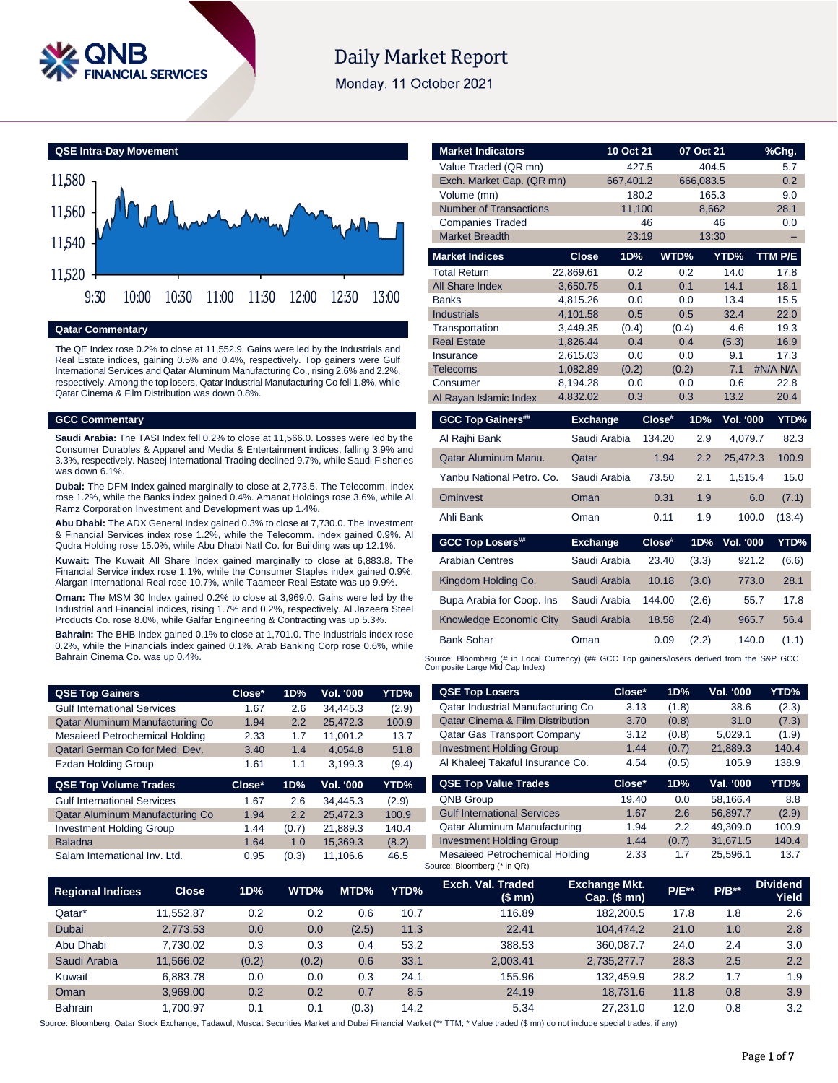

# **Daily Market Report**

Monday, 11 October 2021



**Qatar Commentary**

The QE Index rose 0.2% to close at 11,552.9. Gains were led by the Industrials and Real Estate indices, gaining 0.5% and 0.4%, respectively. Top gainers were Gulf International Services and Qatar Aluminum Manufacturing Co., rising 2.6% and 2.2%, respectively. Among the top losers, Qatar Industrial Manufacturing Co fell 1.8%, while Qatar Cinema & Film Distribution was down 0.8%.

### **GCC Commentary**

**Saudi Arabia:** The TASI Index fell 0.2% to close at 11,566.0. Losses were led by the Consumer Durables & Apparel and Media & Entertainment indices, falling 3.9% and 3.3%, respectively. Naseej International Trading declined 9.7%, while Saudi Fisheries was down 6.1%.

**Dubai:** The DFM Index gained marginally to close at 2,773.5. The Telecomm. index rose 1.2%, while the Banks index gained 0.4%. Amanat Holdings rose 3.6%, while Al Ramz Corporation Investment and Development was up 1.4%.

**Abu Dhabi:** The ADX General Index gained 0.3% to close at 7,730.0. The Investment & Financial Services index rose 1.2%, while the Telecomm. index gained 0.9%. Al Qudra Holding rose 15.0%, while Abu Dhabi Natl Co. for Building was up 12.1%.

**Kuwait:** The Kuwait All Share Index gained marginally to close at 6,883.8. The Financial Service index rose 1.1%, while the Consumer Staples index gained 0.9%. Alargan International Real rose 10.7%, while Taameer Real Estate was up 9.9%.

**Oman:** The MSM 30 Index gained 0.2% to close at 3,969.0. Gains were led by the Industrial and Financial indices, rising 1.7% and 0.2%, respectively. Al Jazeera Steel Products Co. rose 8.0%, while Galfar Engineering & Contracting was up 5.3%.

**Bahrain:** The BHB Index gained 0.1% to close at 1,701.0. The Industrials index rose 0.2%, while the Financials index gained 0.1%. Arab Banking Corp rose 0.6%, while Bahrain Cinema Co. was up 0.4%.

| <b>QSE Top Gainers</b>             | Close* | 1D% | <b>Vol. '000</b> | YTD% <sub>.</sub> |
|------------------------------------|--------|-----|------------------|-------------------|
| <b>Gulf International Services</b> | 1.67   | 2.6 | 34.445.3         | (2.9)             |
| Qatar Aluminum Manufacturing Co    | 1.94   | 2.2 | 25.472.3         | 100.9             |
| Mesaieed Petrochemical Holding     | 2.33   | 1.7 | 11.001.2         | 13.7              |
| Qatari German Co for Med. Dev.     | 3.40   | 1.4 | 4.054.8          | 51.8              |
| <b>Ezdan Holding Group</b>         | 1.61   | 1.1 | 3,199.3          | (9.4)             |

| <b>QSE Top Volume Trades</b>       | Close* | 1D%   | <b>Vol. '000</b> | YTD%  |
|------------------------------------|--------|-------|------------------|-------|
| <b>Gulf International Services</b> | 1.67   | 2.6   | 34.445.3         | (2.9) |
| Qatar Aluminum Manufacturing Co    | 1.94   | 2.2   | 25.472.3         | 100.9 |
| <b>Investment Holding Group</b>    | 1.44   | (0.7) | 21.889.3         | 140.4 |
| <b>Baladna</b>                     | 1.64   | 1.0   | 15.369.3         | (8.2) |
| Salam International Inv. Ltd.      | 0.95   | (0.3) | 11.106.6         | 46.5  |

| <b>Market Indicators</b>      |                      | 10 Oct 21  |        | 07 Oct 21  |                  | %Chg.        |
|-------------------------------|----------------------|------------|--------|------------|------------------|--------------|
| Value Traded (QR mn)          |                      | 427.5      |        | 404.5      |                  | 5.7          |
| Exch. Market Cap. (QR mn)     |                      | 667,401.2  |        | 666,083.5  |                  | 0.2          |
| Volume (mn)                   |                      | 180.2      |        | 165.3      |                  | 9.0          |
| <b>Number of Transactions</b> |                      | 11,100     |        | 8,662      |                  | 28.1         |
| <b>Companies Traded</b>       |                      |            | 46     |            | 46               | 0.0          |
| <b>Market Breadth</b>         |                      | 23:19      |        | 13:30      |                  |              |
| <b>Market Indices</b>         | <b>Close</b>         | 1D%        |        | WTD%       | YTD%             | TTM P/E      |
| <b>Total Return</b>           | 22.869.61            | 0.2        |        | 0.2        | 14.0             | 17.8         |
| <b>All Share Index</b>        | 3,650.75             | 0.1        |        | 0.1        | 14.1             | 18.1         |
| <b>Banks</b>                  | 4,815.26             | 0.0        |        | 0.0        | 13.4             | 15.5         |
| <b>Industrials</b>            | 4.101.58             | 0.5        |        | 0.5        | 32.4             | 22.0         |
| Transportation                | 3,449.35             | (0.4)      |        | (0.4)      | 4.6              | 19.3         |
| <b>Real Estate</b>            | 1,826.44             | 0.4        |        | 0.4        | (5.3)            | 16.9         |
| Insurance                     | 2,615.03             | 0.0        |        | 0.0        | 9.1              | 17.3         |
| <b>Telecoms</b>               | 1.082.89             | (0.2)      |        | (0.2)      | 7.1              | #N/A N/A     |
| Consumer                      | 8,194.28<br>4,832.02 | 0.0<br>0.3 |        | 0.0<br>0.3 | 0.6<br>13.2      | 22.8<br>20.4 |
| Al Rayan Islamic Index        |                      |            |        |            |                  |              |
| <b>GCC Top Gainers##</b>      | <b>Exchange</b>      |            | Close# | 1D%        | <b>Vol. '000</b> | YTD%         |
| Al Rajhi Bank                 | Saudi Arabia         |            | 134.20 | 2.9        | 4,079.7          | 82.3         |
| Qatar Aluminum Manu.          | Qatar                |            | 1.94   | 2.2        | 25,472.3         | 100.9        |
| Yanbu National Petro, Co.     | Saudi Arabia         |            | 73.50  | 2.1        | 1,515.4          | 15.0         |
| <b>Ominvest</b>               | Oman                 |            | 0.31   | 1.9        | 6.0              | (7.1)        |
| Ahli Bank                     | Oman                 |            | 0.11   | 1.9        | 100.0            | (13.4)       |
| <b>GCC Top Losers##</b>       | <b>Exchange</b>      |            | Close# | 1D%        | <b>Vol. '000</b> | YTD%         |
| <b>Arabian Centres</b>        | Saudi Arabia         |            | 23.40  | (3.3)      | 921.2            | (6.6)        |
| Kingdom Holding Co.           | Saudi Arabia         |            | 10.18  | (3.0)      | 773.0            | 28.1         |
| Bupa Arabia for Coop. Ins     | Saudi Arabia         |            | 144.00 | (2.6)      | 55.7             | 17.8         |
| Knowledge Economic City       | Saudi Arabia         |            | 18.58  | (2.4)      | 965.7            | 56.4         |

Source: Bloomberg (# in Local Currency) (## GCC Top gainers/losers derived from the S&P GCC Composite Large Mid Cap Index)

Bank Sohar Oman 0.09 (2.2) 140.0 (1.1)

| <b>QSE Top Losers</b>                       | Close* | 1D%   | <b>Vol. '000</b> | YTD%  |
|---------------------------------------------|--------|-------|------------------|-------|
| Qatar Industrial Manufacturing Co           | 3.13   | (1.8) | 38.6             | (2.3) |
| <b>Qatar Cinema &amp; Film Distribution</b> | 3.70   | (0.8) | 31.0             | (7.3) |
| <b>Qatar Gas Transport Company</b>          | 3.12   | (0.8) | 5,029.1          | (1.9) |
| <b>Investment Holding Group</b>             | 1.44   | (0.7) | 21,889.3         | 140.4 |
| Al Khaleej Takaful Insurance Co.            | 4.54   | (0.5) | 105.9            | 138.9 |
|                                             |        |       |                  |       |
| <b>QSE Top Value Trades</b>                 | Close* | 1D%   | Val. '000        | YTD%  |
| <b>QNB Group</b>                            | 19.40  | 0.0   | 58.166.4         | 8.8   |
| <b>Gulf International Services</b>          | 1.67   | 2.6   | 56.897.7         | (2.9) |
| <b>Qatar Aluminum Manufacturing</b>         | 1.94   | 2.2   | 49.309.0         | 100.9 |
| <b>Investment Holding Group</b>             | 1.44   | (0.7) | 31.671.5         | 140.4 |

| <b>Regional Indices</b> | <b>Close</b> | 1D%   | WTD%  | MTD%  | YTD% | Exch. Val. Traded<br>(\$mn) | <b>Exchange Mkt.</b><br>$Cap.$ (\$ mn) | <b>P/E**</b> | $P/B**$ | <b>Dividend</b><br>Yield |
|-------------------------|--------------|-------|-------|-------|------|-----------------------------|----------------------------------------|--------------|---------|--------------------------|
| Qatar*                  | 11.552.87    | 0.2   | 0.2   | 0.6   | 10.7 | 116.89                      | 182.200.5                              | 17.8         | 1.8     | 2.6                      |
| <b>Dubai</b>            | 2,773.53     | 0.0   | 0.0   | (2.5) | 11.3 | 22.41                       | 104.474.2                              | 21.0         | 1.0     | 2.8                      |
| Abu Dhabi               | 7.730.02     | 0.3   | 0.3   | 0.4   | 53.2 | 388.53                      | 360.087.7                              | 24.0         | 2.4     | 3.0                      |
| Saudi Arabia            | 11.566.02    | (0.2) | (0.2) | 0.6   | 33.1 | 2.003.41                    | 2.735.277.7                            | 28.3         | 2.5     | 2.2                      |
| Kuwait                  | 6.883.78     | 0.0   | 0.0   | 0.3   | 24.1 | 155.96                      | 132.459.9                              | 28.2         | 1.7     | 1.9                      |
| Oman                    | 3.969.00     | 0.2   | 0.2   | 0.7   | 8.5  | 24.19                       | 18.731.6                               | 11.8         | 0.8     | 3.9                      |
| <b>Bahrain</b>          | 1.700.97     | 0.1   | 0.1   | (0.3) | 14.2 | 5.34                        | 27.231.0                               | 12.0         | 0.8     | 3.2                      |

Source: Bloomberg, Qatar Stock Exchange, Tadawul, Muscat Securities Market and Dubai Financial Market (\*\* TTM; \* Value traded (\$ mn) do not include special trades, if any)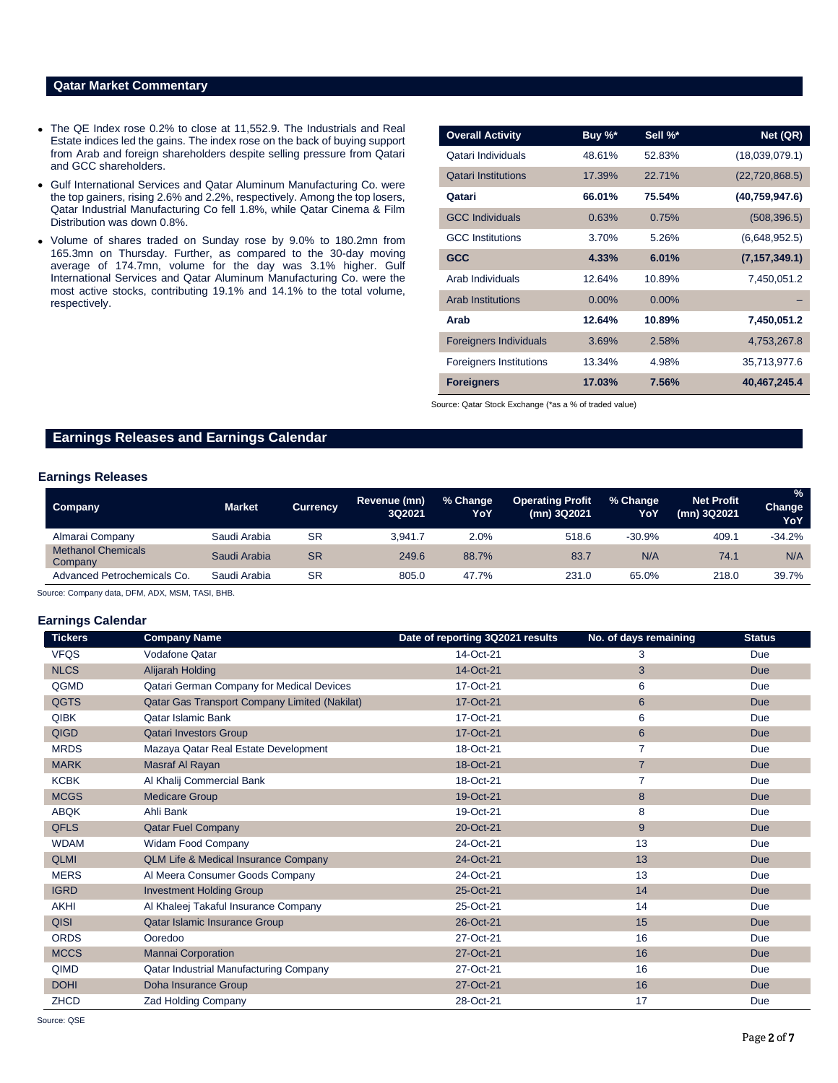# **Qatar Market Commentary**

- The QE Index rose 0.2% to close at 11,552.9. The Industrials and Real Estate indices led the gains. The index rose on the back of buying support from Arab and foreign shareholders despite selling pressure from Qatari and GCC shareholders.
- Gulf International Services and Qatar Aluminum Manufacturing Co. were the top gainers, rising 2.6% and 2.2%, respectively. Among the top losers, Qatar Industrial Manufacturing Co fell 1.8%, while Qatar Cinema & Film Distribution was down 0.8%.
- Volume of shares traded on Sunday rose by 9.0% to 180.2mn from 165.3mn on Thursday. Further, as compared to the 30-day moving average of 174.7mn, volume for the day was 3.1% higher. Gulf International Services and Qatar Aluminum Manufacturing Co. were the most active stocks, contributing 19.1% and 14.1% to the total volume, respectively.

| <b>Overall Activity</b>        | Buy %*   | Sell %*  | Net (QR)         |
|--------------------------------|----------|----------|------------------|
| Qatari Individuals             | 48.61%   | 52.83%   | (18,039,079.1)   |
| <b>Qatari Institutions</b>     | 17.39%   | 22.71%   | (22, 720, 868.5) |
| Qatari                         | 66.01%   | 75.54%   | (40,759,947.6)   |
| <b>GCC Individuals</b>         | 0.63%    | 0.75%    | (508, 396.5)     |
| <b>GCC</b> Institutions        | 3.70%    | 5.26%    | (6,648,952.5)    |
| <b>GCC</b>                     | 4.33%    | 6.01%    | (7, 157, 349.1)  |
| Arab Individuals               | 12.64%   | 10.89%   | 7,450,051.2      |
| <b>Arab Institutions</b>       | $0.00\%$ | $0.00\%$ |                  |
| Arab                           | 12.64%   | 10.89%   | 7,450,051.2      |
| <b>Foreigners Individuals</b>  | 3.69%    | 2.58%    | 4,753,267.8      |
| <b>Foreigners Institutions</b> | 13.34%   | 4.98%    | 35,713,977.6     |
| <b>Foreigners</b>              | 17.03%   | 7.56%    | 40,467,245.4     |

Source: Qatar Stock Exchange (\*as a % of traded value)

# **Earnings Releases and Earnings Calendar**

### **Earnings Releases**

| Company                              | <b>Market</b> | <b>Currency</b> | Revenue (mn)<br>3Q2021 | % Change<br>YoY | <b>Operating Profit</b><br>(mn) 3Q2021 | % Change<br>YoY | <b>Net Profit</b><br>(mn) 3Q2021 | $\frac{1}{2}$<br>Change<br>YoY |
|--------------------------------------|---------------|-----------------|------------------------|-----------------|----------------------------------------|-----------------|----------------------------------|--------------------------------|
| Almarai Company                      | Saudi Arabia  | <b>SR</b>       | 3.941.7                | 2.0%            | 518.6                                  | $-30.9%$        | 409.1                            | $-34.2%$                       |
| <b>Methanol Chemicals</b><br>Company | Saudi Arabia  | <b>SR</b>       | 249.6                  | 88.7%           | 83.7                                   | N/A             | 74.1                             | N/A                            |
| Advanced Petrochemicals Co.          | Saudi Arabia  | <b>SR</b>       | 805.0                  | 47.7%           | 231.0                                  | 65.0%           | 218.0                            | 39.7%                          |

Source: Company data, DFM, ADX, MSM, TASI, BHB.

#### **Earnings Calendar**

| <b>Tickers</b> | <b>Company Name</b>                             | Date of reporting 3Q2021 results | No. of days remaining | <b>Status</b> |
|----------------|-------------------------------------------------|----------------------------------|-----------------------|---------------|
| <b>VFQS</b>    | Vodafone Qatar                                  | 14-Oct-21                        | 3                     | Due           |
| <b>NLCS</b>    | <b>Alijarah Holding</b>                         | 14-Oct-21                        | 3                     | <b>Due</b>    |
| QGMD           | Qatari German Company for Medical Devices       | 17-Oct-21                        | 6                     | Due           |
| <b>QGTS</b>    | Qatar Gas Transport Company Limited (Nakilat)   | 17-Oct-21                        | $6\phantom{1}$        | <b>Due</b>    |
| <b>QIBK</b>    | <b>Oatar Islamic Bank</b>                       | 17-Oct-21                        | 6                     | Due           |
| <b>QIGD</b>    | <b>Qatari Investors Group</b>                   | 17-Oct-21                        | $6\phantom{1}$        | <b>Due</b>    |
| <b>MRDS</b>    | Mazaya Qatar Real Estate Development            | 18-Oct-21                        | 7                     | Due           |
| <b>MARK</b>    | Masraf Al Rayan                                 | 18-Oct-21                        | $\overline{7}$        | <b>Due</b>    |
| <b>KCBK</b>    | Al Khalij Commercial Bank                       | 18-Oct-21                        | $\overline{7}$        | Due           |
| <b>MCGS</b>    | <b>Medicare Group</b>                           | 19-Oct-21                        | 8                     | Due           |
| <b>ABQK</b>    | Ahli Bank                                       | 19-Oct-21                        | 8                     | Due           |
| <b>QFLS</b>    | <b>Qatar Fuel Company</b>                       | 20-Oct-21                        | 9                     | <b>Due</b>    |
| <b>WDAM</b>    | Widam Food Company                              | 24-Oct-21                        | 13                    | Due           |
| <b>QLMI</b>    | <b>QLM Life &amp; Medical Insurance Company</b> | 24-Oct-21                        | 13                    | Due           |
| <b>MERS</b>    | Al Meera Consumer Goods Company                 | 24-Oct-21                        | 13                    | Due           |
| <b>IGRD</b>    | <b>Investment Holding Group</b>                 | 25-Oct-21                        | 14                    | Due           |
| <b>AKHI</b>    | Al Khaleej Takaful Insurance Company            | 25-Oct-21                        | 14                    | Due           |
| <b>QISI</b>    | Qatar Islamic Insurance Group                   | 26-Oct-21                        | 15                    | <b>Due</b>    |
| <b>ORDS</b>    | Ooredoo                                         | 27-Oct-21                        | 16                    | Due           |
| <b>MCCS</b>    | <b>Mannai Corporation</b>                       | 27-Oct-21                        | 16                    | Due           |
| QIMD           | Qatar Industrial Manufacturing Company          | 27-Oct-21                        | 16                    | Due           |
| <b>DOHI</b>    | Doha Insurance Group                            | 27-Oct-21                        | 16                    | Due           |
| <b>ZHCD</b>    | <b>Zad Holding Company</b>                      | 28-Oct-21                        | 17                    | Due           |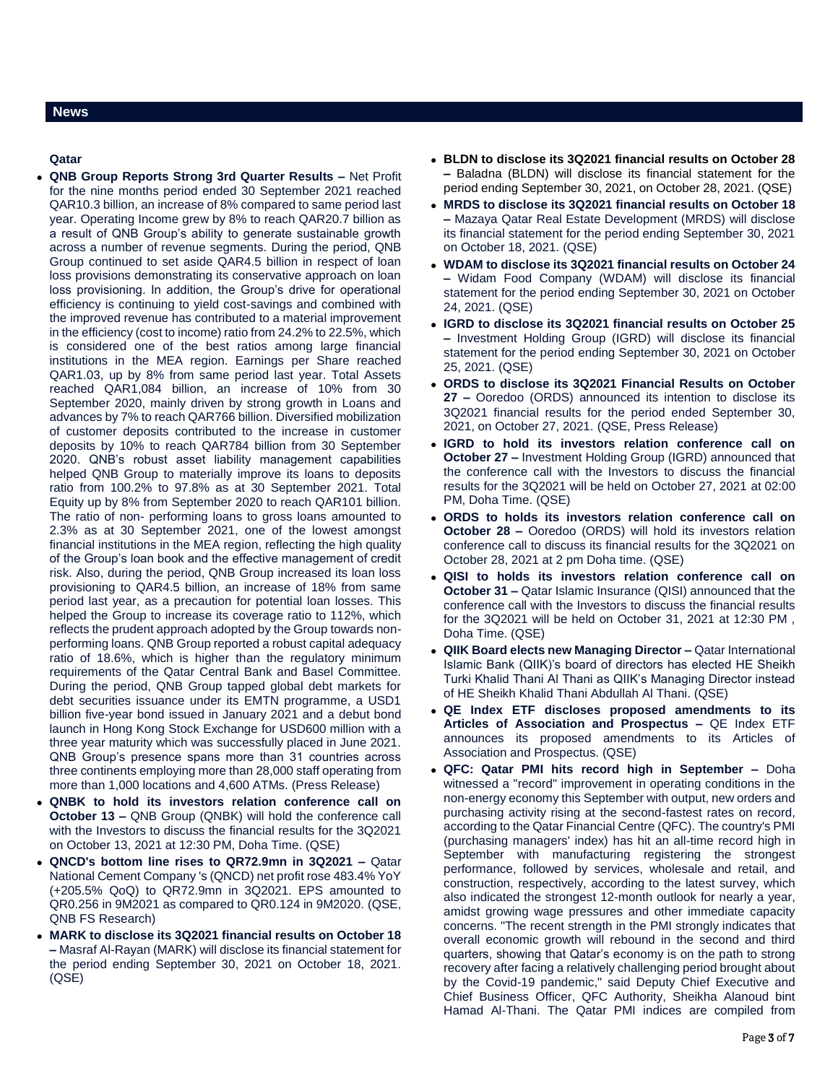#### **Qatar**

- **QNB Group Reports Strong 3rd Quarter Results –** Net Profit for the nine months period ended 30 September 2021 reached QAR10.3 billion, an increase of 8% compared to same period last year. Operating Income grew by 8% to reach QAR20.7 billion as a result of QNB Group's ability to generate sustainable growth across a number of revenue segments. During the period, QNB Group continued to set aside QAR4.5 billion in respect of loan loss provisions demonstrating its conservative approach on loan loss provisioning. In addition, the Group's drive for operational efficiency is continuing to yield cost-savings and combined with the improved revenue has contributed to a material improvement in the efficiency (cost to income) ratio from 24.2% to 22.5%, which is considered one of the best ratios among large financial institutions in the MEA region. Earnings per Share reached QAR1.03, up by 8% from same period last year. Total Assets reached QAR1,084 billion, an increase of 10% from 30 September 2020, mainly driven by strong growth in Loans and advances by 7% to reach QAR766 billion. Diversified mobilization of customer deposits contributed to the increase in customer deposits by 10% to reach QAR784 billion from 30 September 2020. QNB's robust asset liability management capabilities helped QNB Group to materially improve its loans to deposits ratio from 100.2% to 97.8% as at 30 September 2021. Total Equity up by 8% from September 2020 to reach QAR101 billion. The ratio of non- performing loans to gross loans amounted to 2.3% as at 30 September 2021, one of the lowest amongst financial institutions in the MEA region, reflecting the high quality of the Group's loan book and the effective management of credit risk. Also, during the period, QNB Group increased its loan loss provisioning to QAR4.5 billion, an increase of 18% from same period last year, as a precaution for potential loan losses. This helped the Group to increase its coverage ratio to 112%, which reflects the prudent approach adopted by the Group towards nonperforming loans. QNB Group reported a robust capital adequacy ratio of 18.6%, which is higher than the regulatory minimum requirements of the Qatar Central Bank and Basel Committee. During the period, QNB Group tapped global debt markets for debt securities issuance under its EMTN programme, a USD1 billion five-year bond issued in January 2021 and a debut bond launch in Hong Kong Stock Exchange for USD600 million with a three year maturity which was successfully placed in June 2021. QNB Group's presence spans more than 31 countries across three continents employing more than 28,000 staff operating from more than 1,000 locations and 4,600 ATMs. (Press Release)
- **QNBK to hold its investors relation conference call on October 13 –** QNB Group (QNBK) will hold the conference call with the Investors to discuss the financial results for the 3Q2021 on October 13, 2021 at 12:30 PM, Doha Time. (QSE)
- **QNCD's bottom line rises to QR72.9mn in 3Q2021 –** Qatar National Cement Company 's (QNCD) net profit rose 483.4% YoY (+205.5% QoQ) to QR72.9mn in 3Q2021. EPS amounted to QR0.256 in 9M2021 as compared to QR0.124 in 9M2020. (QSE, QNB FS Research)
- **MARK to disclose its 3Q2021 financial results on October 18 –** Masraf Al-Rayan (MARK) will disclose its financial statement for the period ending September 30, 2021 on October 18, 2021. (QSE)
- **BLDN to disclose its 3Q2021 financial results on October 28 –** Baladna (BLDN) will disclose its financial statement for the period ending September 30, 2021, on October 28, 2021. (QSE)
- **MRDS to disclose its 3Q2021 financial results on October 18 –** Mazaya Qatar Real Estate Development (MRDS) will disclose its financial statement for the period ending September 30, 2021 on October 18, 2021. (QSE)
- **WDAM to disclose its 3Q2021 financial results on October 24 –** Widam Food Company (WDAM) will disclose its financial statement for the period ending September 30, 2021 on October 24, 2021. (QSE)
- **IGRD to disclose its 3Q2021 financial results on October 25 –** Investment Holding Group (IGRD) will disclose its financial statement for the period ending September 30, 2021 on October 25, 2021. (QSE)
- **ORDS to disclose its 3Q2021 Financial Results on October 27 –** Ooredoo (ORDS) announced its intention to disclose its 3Q2021 financial results for the period ended September 30, 2021, on October 27, 2021. (QSE, Press Release)
- **IGRD to hold its investors relation conference call on October 27 –** Investment Holding Group (IGRD) announced that the conference call with the Investors to discuss the financial results for the 3Q2021 will be held on October 27, 2021 at 02:00 PM, Doha Time. (QSE)
- **ORDS to holds its investors relation conference call on October 28 –** Ooredoo (ORDS) will hold its investors relation conference call to discuss its financial results for the 3Q2021 on October 28, 2021 at 2 pm Doha time. (QSE)
- **QISI to holds its investors relation conference call on October 31 –** Qatar Islamic Insurance (QISI) announced that the conference call with the Investors to discuss the financial results for the 3Q2021 will be held on October 31, 2021 at 12:30 PM , Doha Time. (QSE)
- **QIIK Board elects new Managing Director –** Qatar International Islamic Bank (QIIK)'s board of directors has elected HE Sheikh Turki Khalid Thani Al Thani as QIIK's Managing Director instead of HE Sheikh Khalid Thani Abdullah Al Thani. (QSE)
- **QE Index ETF discloses proposed amendments to its Articles of Association and Prospectus –** QE Index ETF announces its proposed amendments to its Articles of Association and Prospectus. (QSE)
- **QFC: Qatar PMI hits record high in September –** Doha witnessed a "record" improvement in operating conditions in the non-energy economy this September with output, new orders and purchasing activity rising at the second-fastest rates on record, according to the Qatar Financial Centre (QFC). The country's PMI (purchasing managers' index) has hit an all-time record high in September with manufacturing registering the strongest performance, followed by services, wholesale and retail, and construction, respectively, according to the latest survey, which also indicated the strongest 12-month outlook for nearly a year, amidst growing wage pressures and other immediate capacity concerns. "The recent strength in the PMI strongly indicates that overall economic growth will rebound in the second and third quarters, showing that Qatar's economy is on the path to strong recovery after facing a relatively challenging period brought about by the Covid-19 pandemic," said Deputy Chief Executive and Chief Business Officer, QFC Authority, Sheikha Alanoud bint Hamad Al-Thani. The Qatar PMI indices are compiled from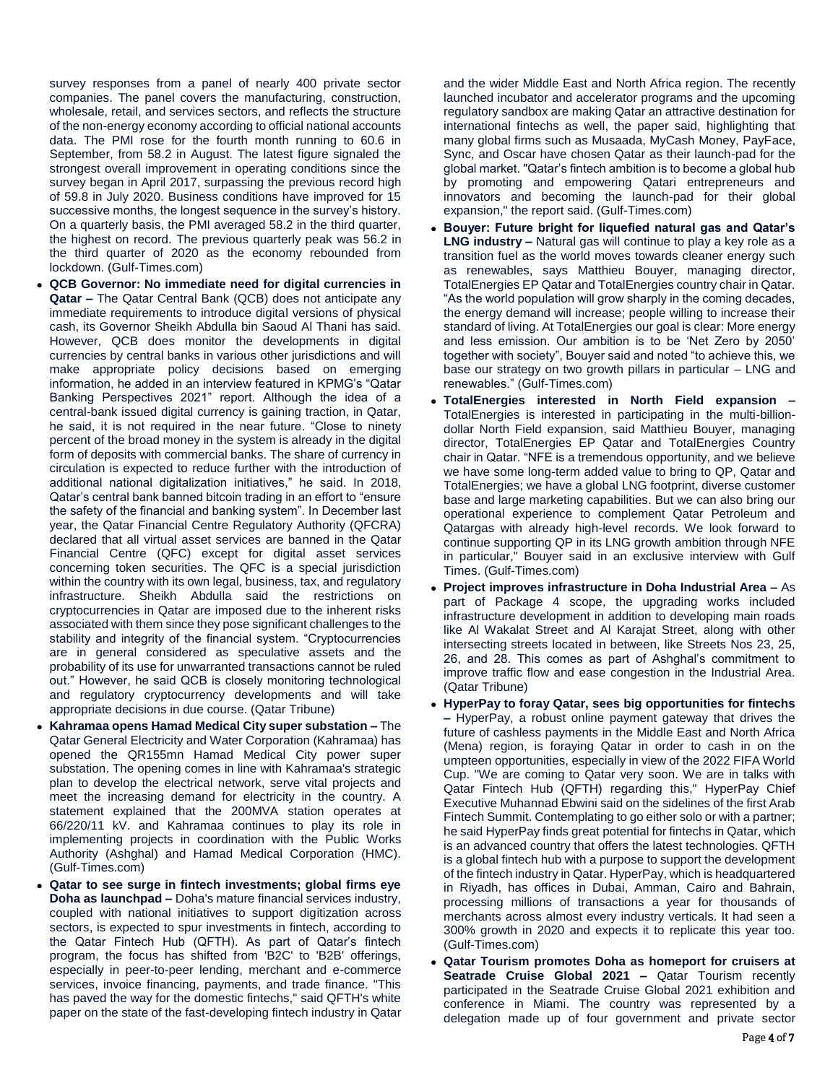survey responses from a panel of nearly 400 private sector companies. The panel covers the manufacturing, construction, wholesale, retail, and services sectors, and reflects the structure of the non-energy economy according to official national accounts data. The PMI rose for the fourth month running to 60.6 in September, from 58.2 in August. The latest figure signaled the strongest overall improvement in operating conditions since the survey began in April 2017, surpassing the previous record high of 59.8 in July 2020. Business conditions have improved for 15 successive months, the longest sequence in the survey's history. On a quarterly basis, the PMI averaged 58.2 in the third quarter, the highest on record. The previous quarterly peak was 56.2 in the third quarter of 2020 as the economy rebounded from lockdown. (Gulf-Times.com)

- **QCB Governor: No immediate need for digital currencies in Qatar –** The Qatar Central Bank (QCB) does not anticipate any immediate requirements to introduce digital versions of physical cash, its Governor Sheikh Abdulla bin Saoud Al Thani has said. However, QCB does monitor the developments in digital currencies by central banks in various other jurisdictions and will make appropriate policy decisions based on emerging information, he added in an interview featured in KPMG's "Qatar Banking Perspectives 2021" report. Although the idea of a central-bank issued digital currency is gaining traction, in Qatar, he said, it is not required in the near future. "Close to ninety percent of the broad money in the system is already in the digital form of deposits with commercial banks. The share of currency in circulation is expected to reduce further with the introduction of additional national digitalization initiatives," he said. In 2018, Qatar's central bank banned bitcoin trading in an effort to "ensure the safety of the financial and banking system". In December last year, the Qatar Financial Centre Regulatory Authority (QFCRA) declared that all virtual asset services are banned in the Qatar Financial Centre (QFC) except for digital asset services concerning token securities. The QFC is a special jurisdiction within the country with its own legal, business, tax, and regulatory infrastructure. Sheikh Abdulla said the restrictions on cryptocurrencies in Qatar are imposed due to the inherent risks associated with them since they pose significant challenges to the stability and integrity of the financial system. "Cryptocurrencies are in general considered as speculative assets and the probability of its use for unwarranted transactions cannot be ruled out." However, he said QCB is closely monitoring technological and regulatory cryptocurrency developments and will take appropriate decisions in due course. (Qatar Tribune)
- **Kahramaa opens Hamad Medical City super substation –** The Qatar General Electricity and Water Corporation (Kahramaa) has opened the QR155mn Hamad Medical City power super substation. The opening comes in line with Kahramaa's strategic plan to develop the electrical network, serve vital projects and meet the increasing demand for electricity in the country. A statement explained that the 200MVA station operates at 66/220/11 kV. and Kahramaa continues to play its role in implementing projects in coordination with the Public Works Authority (Ashghal) and Hamad Medical Corporation (HMC). (Gulf-Times.com)
- **Qatar to see surge in fintech investments; global firms eye Doha as launchpad –** Doha's mature financial services industry, coupled with national initiatives to support digitization across sectors, is expected to spur investments in fintech, according to the Qatar Fintech Hub (QFTH). As part of Qatar's fintech program, the focus has shifted from 'B2C' to 'B2B' offerings, especially in peer-to-peer lending, merchant and e-commerce services, invoice financing, payments, and trade finance. "This has paved the way for the domestic fintechs," said QFTH's white paper on the state of the fast-developing fintech industry in Qatar

and the wider Middle East and North Africa region. The recently launched incubator and accelerator programs and the upcoming regulatory sandbox are making Qatar an attractive destination for international fintechs as well, the paper said, highlighting that many global firms such as Musaada, MyCash Money, PayFace, Sync, and Oscar have chosen Qatar as their launch-pad for the global market. "Qatar's fintech ambition is to become a global hub by promoting and empowering Qatari entrepreneurs and innovators and becoming the launch-pad for their global expansion," the report said. (Gulf-Times.com)

- **Bouyer: Future bright for liquefied natural gas and Qatar's LNG industry –** Natural gas will continue to play a key role as a transition fuel as the world moves towards cleaner energy such as renewables, says Matthieu Bouyer, managing director, TotalEnergies EP Qatar and TotalEnergies country chair in Qatar. "As the world population will grow sharply in the coming decades, the energy demand will increase; people willing to increase their standard of living. At TotalEnergies our goal is clear: More energy and less emission. Our ambition is to be 'Net Zero by 2050' together with society", Bouyer said and noted "to achieve this, we base our strategy on two growth pillars in particular – LNG and renewables." (Gulf-Times.com)
- **TotalEnergies interested in North Field expansion –** TotalEnergies is interested in participating in the multi-billiondollar North Field expansion, said Matthieu Bouyer, managing director, TotalEnergies EP Qatar and TotalEnergies Country chair in Qatar. "NFE is a tremendous opportunity, and we believe we have some long-term added value to bring to QP, Qatar and TotalEnergies; we have a global LNG footprint, diverse customer base and large marketing capabilities. But we can also bring our operational experience to complement Qatar Petroleum and Qatargas with already high-level records. We look forward to continue supporting QP in its LNG growth ambition through NFE in particular," Bouyer said in an exclusive interview with Gulf Times. (Gulf-Times.com)
- **Project improves infrastructure in Doha Industrial Area –** As part of Package 4 scope, the upgrading works included infrastructure development in addition to developing main roads like Al Wakalat Street and Al Karajat Street, along with other intersecting streets located in between, like Streets Nos 23, 25, 26, and 28. This comes as part of Ashghal's commitment to improve traffic flow and ease congestion in the Industrial Area. (Qatar Tribune)
- **HyperPay to foray Qatar, sees big opportunities for fintechs –** HyperPay, a robust online payment gateway that drives the future of cashless payments in the Middle East and North Africa (Mena) region, is foraying Qatar in order to cash in on the umpteen opportunities, especially in view of the 2022 FIFA World Cup. "We are coming to Qatar very soon. We are in talks with Qatar Fintech Hub (QFTH) regarding this," HyperPay Chief Executive Muhannad Ebwini said on the sidelines of the first Arab Fintech Summit. Contemplating to go either solo or with a partner; he said HyperPay finds great potential for fintechs in Qatar, which is an advanced country that offers the latest technologies. QFTH is a global fintech hub with a purpose to support the development of the fintech industry in Qatar. HyperPay, which is headquartered in Riyadh, has offices in Dubai, Amman, Cairo and Bahrain, processing millions of transactions a year for thousands of merchants across almost every industry verticals. It had seen a 300% growth in 2020 and expects it to replicate this year too. (Gulf-Times.com)
- **Qatar Tourism promotes Doha as homeport for cruisers at Seatrade Cruise Global 2021 –** Qatar Tourism recently participated in the Seatrade Cruise Global 2021 exhibition and conference in Miami. The country was represented by a delegation made up of four government and private sector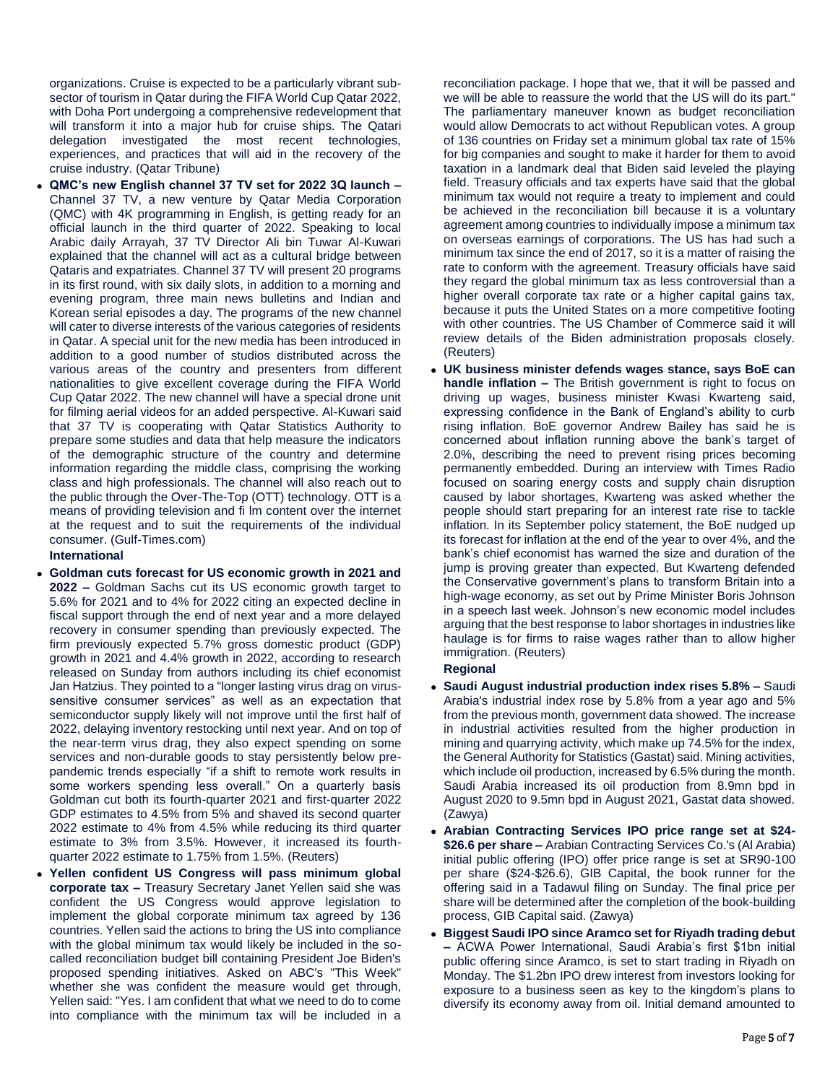organizations. Cruise is expected to be a particularly vibrant subsector of tourism in Qatar during the FIFA World Cup Qatar 2022, with Doha Port undergoing a comprehensive redevelopment that will transform it into a major hub for cruise ships. The Qatari delegation investigated the most recent technologies, experiences, and practices that will aid in the recovery of the cruise industry. (Qatar Tribune)

 **QMC's new English channel 37 TV set for 2022 3Q launch –** Channel 37 TV, a new venture by Qatar Media Corporation (QMC) with 4K programming in English, is getting ready for an official launch in the third quarter of 2022. Speaking to local Arabic daily Arrayah, 37 TV Director Ali bin Tuwar Al-Kuwari explained that the channel will act as a cultural bridge between Qataris and expatriates. Channel 37 TV will present 20 programs in its first round, with six daily slots, in addition to a morning and evening program, three main news bulletins and Indian and Korean serial episodes a day. The programs of the new channel will cater to diverse interests of the various categories of residents in Qatar. A special unit for the new media has been introduced in addition to a good number of studios distributed across the various areas of the country and presenters from different nationalities to give excellent coverage during the FIFA World Cup Qatar 2022. The new channel will have a special drone unit for filming aerial videos for an added perspective. Al-Kuwari said that 37 TV is cooperating with Qatar Statistics Authority to prepare some studies and data that help measure the indicators of the demographic structure of the country and determine information regarding the middle class, comprising the working class and high professionals. The channel will also reach out to the public through the Over-The-Top (OTT) technology. OTT is a means of providing television and fi lm content over the internet at the request and to suit the requirements of the individual consumer. (Gulf-Times.com)

### **International**

- **Goldman cuts forecast for US economic growth in 2021 and 2022 –** Goldman Sachs cut its US economic growth target to 5.6% for 2021 and to 4% for 2022 citing an expected decline in fiscal support through the end of next year and a more delayed recovery in consumer spending than previously expected. The firm previously expected 5.7% gross domestic product (GDP) growth in 2021 and 4.4% growth in 2022, according to research released on Sunday from authors including its chief economist Jan Hatzius. They pointed to a "longer lasting virus drag on virussensitive consumer services" as well as an expectation that semiconductor supply likely will not improve until the first half of 2022, delaying inventory restocking until next year. And on top of the near-term virus drag, they also expect spending on some services and non-durable goods to stay persistently below prepandemic trends especially "if a shift to remote work results in some workers spending less overall." On a quarterly basis Goldman cut both its fourth-quarter 2021 and first-quarter 2022 GDP estimates to 4.5% from 5% and shaved its second quarter 2022 estimate to 4% from 4.5% while reducing its third quarter estimate to 3% from 3.5%. However, it increased its fourthquarter 2022 estimate to 1.75% from 1.5%. (Reuters)
- **Yellen confident US Congress will pass minimum global corporate tax –** Treasury Secretary Janet Yellen said she was confident the US Congress would approve legislation to implement the global corporate minimum tax agreed by 136 countries. Yellen said the actions to bring the US into compliance with the global minimum tax would likely be included in the socalled reconciliation budget bill containing President Joe Biden's proposed spending initiatives. Asked on ABC's "This Week" whether she was confident the measure would get through, Yellen said: "Yes. I am confident that what we need to do to come into compliance with the minimum tax will be included in a

reconciliation package. I hope that we, that it will be passed and we will be able to reassure the world that the US will do its part." The parliamentary maneuver known as budget reconciliation would allow Democrats to act without Republican votes. A group of 136 countries on Friday set a minimum global tax rate of 15% for big companies and sought to make it harder for them to avoid taxation in a landmark deal that Biden said leveled the playing field. Treasury officials and tax experts have said that the global minimum tax would not require a treaty to implement and could be achieved in the reconciliation bill because it is a voluntary agreement among countries to individually impose a minimum tax on overseas earnings of corporations. The US has had such a minimum tax since the end of 2017, so it is a matter of raising the rate to conform with the agreement. Treasury officials have said they regard the global minimum tax as less controversial than a higher overall corporate tax rate or a higher capital gains tax, because it puts the United States on a more competitive footing with other countries. The US Chamber of Commerce said it will review details of the Biden administration proposals closely. (Reuters)

 **UK business minister defends wages stance, says BoE can handle inflation –** The British government is right to focus on driving up wages, business minister Kwasi Kwarteng said, expressing confidence in the Bank of England's ability to curb rising inflation. BoE governor Andrew Bailey has said he is concerned about inflation running above the bank's target of 2.0%, describing the need to prevent rising prices becoming permanently embedded. During an interview with Times Radio focused on soaring energy costs and supply chain disruption caused by labor shortages, Kwarteng was asked whether the people should start preparing for an interest rate rise to tackle inflation. In its September policy statement, the BoE nudged up its forecast for inflation at the end of the year to over 4%, and the bank's chief economist has warned the size and duration of the jump is proving greater than expected. But Kwarteng defended the Conservative government's plans to transform Britain into a high-wage economy, as set out by Prime Minister Boris Johnson in a speech last week. Johnson's new economic model includes arguing that the best response to labor shortages in industries like haulage is for firms to raise wages rather than to allow higher immigration. (Reuters)

## **Regional**

- **Saudi August industrial production index rises 5.8% –** Saudi Arabia's industrial index rose by 5.8% from a year ago and 5% from the previous month, government data showed. The increase in industrial activities resulted from the higher production in mining and quarrying activity, which make up 74.5% for the index, the General Authority for Statistics (Gastat) said. Mining activities, which include oil production, increased by 6.5% during the month. Saudi Arabia increased its oil production from 8.9mn bpd in August 2020 to 9.5mn bpd in August 2021, Gastat data showed. (Zawya)
- **Arabian Contracting Services IPO price range set at \$24- \$26.6 per share –** Arabian Contracting Services Co.'s (Al Arabia) initial public offering (IPO) offer price range is set at SR90-100 per share (\$24-\$26.6), GIB Capital, the book runner for the offering said in a Tadawul filing on Sunday. The final price per share will be determined after the completion of the book-building process, GIB Capital said. (Zawya)
- **Biggest Saudi IPO since Aramco set for Riyadh trading debut –** ACWA Power International, Saudi Arabia's first \$1bn initial public offering since Aramco, is set to start trading in Riyadh on Monday. The \$1.2bn IPO drew interest from investors looking for exposure to a business seen as key to the kingdom's plans to diversify its economy away from oil. Initial demand amounted to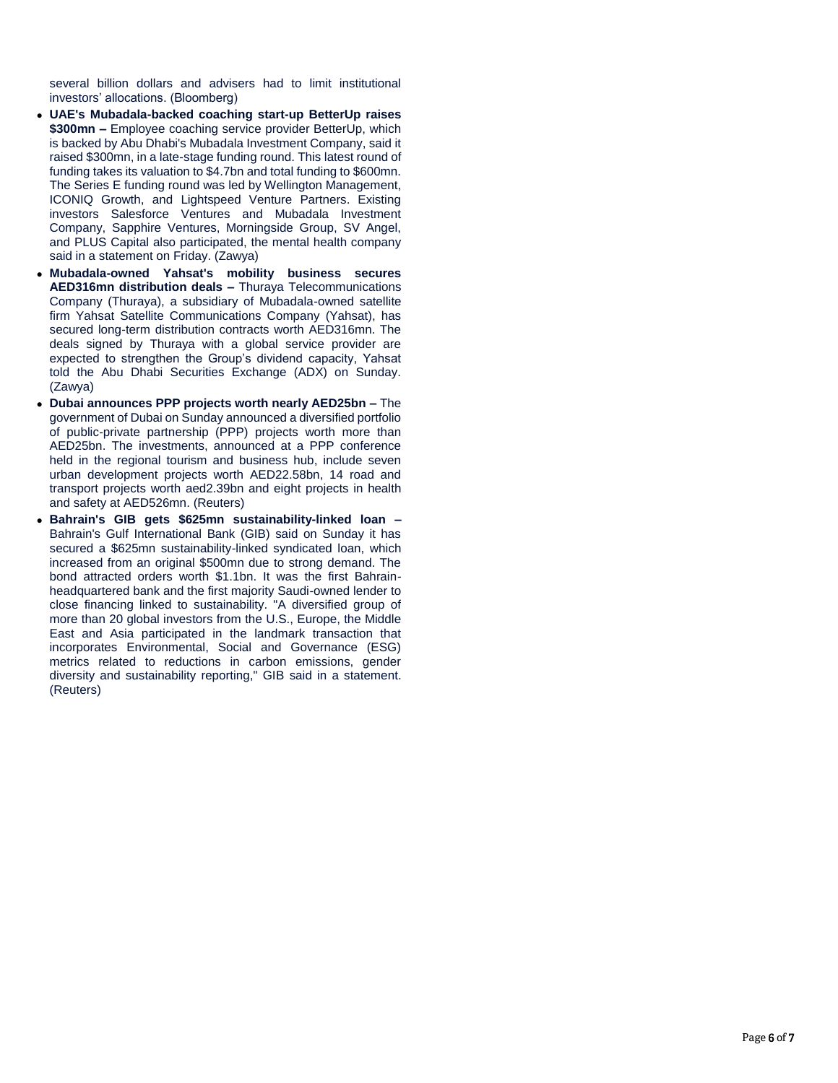several billion dollars and advisers had to limit institutional investors' allocations. (Bloomberg)

- **UAE's Mubadala-backed coaching start-up BetterUp raises \$300mn –** Employee coaching service provider BetterUp, which is backed by Abu Dhabi's Mubadala Investment Company, said it raised \$300mn, in a late-stage funding round. This latest round of funding takes its valuation to \$4.7bn and total funding to \$600mn. The Series E funding round was led by Wellington Management, ICONIQ Growth, and Lightspeed Venture Partners. Existing investors Salesforce Ventures and Mubadala Investment Company, Sapphire Ventures, Morningside Group, SV Angel, and PLUS Capital also participated, the mental health company said in a statement on Friday. (Zawya)
- **Mubadala-owned Yahsat's mobility business secures AED316mn distribution deals –** Thuraya Telecommunications Company (Thuraya), a subsidiary of Mubadala-owned satellite firm Yahsat Satellite Communications Company (Yahsat), has secured long-term distribution contracts worth AED316mn. The deals signed by Thuraya with a global service provider are expected to strengthen the Group's dividend capacity, Yahsat told the Abu Dhabi Securities Exchange (ADX) on Sunday. (Zawya)
- **Dubai announces PPP projects worth nearly AED25bn –** The government of Dubai on Sunday announced a diversified portfolio of public-private partnership (PPP) projects worth more than AED25bn. The investments, announced at a PPP conference held in the regional tourism and business hub, include seven urban development projects worth AED22.58bn, 14 road and transport projects worth aed2.39bn and eight projects in health and safety at AED526mn. (Reuters)
- **Bahrain's GIB gets \$625mn sustainability-linked loan –** Bahrain's Gulf International Bank (GIB) said on Sunday it has secured a \$625mn sustainability-linked syndicated loan, which increased from an original \$500mn due to strong demand. The bond attracted orders worth \$1.1bn. It was the first Bahrainheadquartered bank and the first majority Saudi-owned lender to close financing linked to sustainability. "A diversified group of more than 20 global investors from the U.S., Europe, the Middle East and Asia participated in the landmark transaction that incorporates Environmental, Social and Governance (ESG) metrics related to reductions in carbon emissions, gender diversity and sustainability reporting," GIB said in a statement. (Reuters)